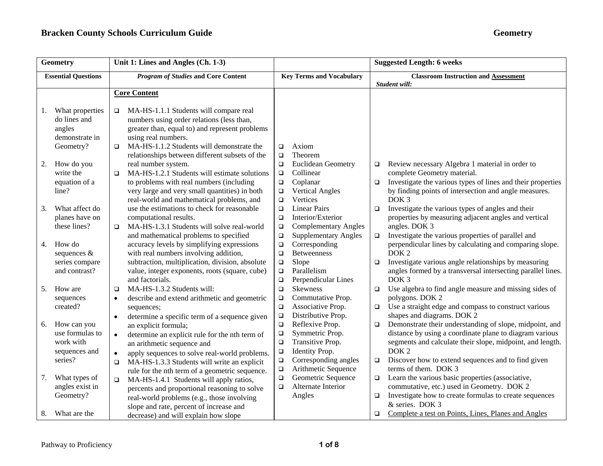| <b>Geometry</b>                                                   | Unit 1: Lines and Angles (Ch. 1-3)                                                                                                                                     |                                                                                             | <b>Suggested Length: 6 weeks</b>                                                                                                                                  |  |
|-------------------------------------------------------------------|------------------------------------------------------------------------------------------------------------------------------------------------------------------------|---------------------------------------------------------------------------------------------|-------------------------------------------------------------------------------------------------------------------------------------------------------------------|--|
| <b>Essential Questions</b>                                        | <b>Program of Studies and Core Content</b>                                                                                                                             | <b>Key Terms and Vocabulary</b>                                                             | <b>Classroom Instruction and Assessment</b>                                                                                                                       |  |
|                                                                   | <b>Core Content</b>                                                                                                                                                    |                                                                                             | Student will:                                                                                                                                                     |  |
|                                                                   |                                                                                                                                                                        |                                                                                             |                                                                                                                                                                   |  |
| What properties<br>1.<br>do lines and<br>angles<br>demonstrate in | MA-HS-1.1.1 Students will compare real<br>$\Box$<br>numbers using order relations (less than,<br>greater than, equal to) and represent problems<br>using real numbers. |                                                                                             |                                                                                                                                                                   |  |
| Geometry?                                                         | MA-HS-1.1.2 Students will demonstrate the<br>$\Box$<br>relationships between different subsets of the                                                                  | Axiom<br>$\Box$<br>Theorem<br>$\Box$                                                        |                                                                                                                                                                   |  |
| How do you<br>2.<br>write the<br>equation of a                    | real number system.<br>MA-HS-1.2.1 Students will estimate solutions<br>$\Box$<br>to problems with real numbers (including                                              | $\Box$<br>Euclidean Geometry<br>Collinear<br>$\Box$<br>Coplanar<br>$\Box$                   | Review necessary Algebra 1 material in order to<br>$\Box$<br>complete Geometry material.<br>Investigate the various types of lines and their properties<br>$\Box$ |  |
| line?                                                             | very large and very small quantities) in both<br>real-world and mathematical problems, and                                                                             | <b>Vertical Angles</b><br>$\Box$<br>Vertices<br>$\Box$                                      | by finding points of intersection and angle measures.<br>DOK <sub>3</sub>                                                                                         |  |
| What affect do<br>3.<br>planes have on                            | use the estimations to check for reasonable<br>computational results.                                                                                                  | $\Box$<br><b>Linear Pairs</b><br>$\Box$<br>Interior/Exterior                                | Investigate the various types of angles and their<br>$\Box$<br>properties by measuring adjacent angles and vertical                                               |  |
| these lines?                                                      | MA-HS-1.3.1 Students will solve real-world<br>$\Box$<br>and mathematical problems to specified                                                                         | <b>Complementary Angles</b><br>$\Box$<br><b>Supplementary Angles</b><br>$\Box$              | angles. DOK 3<br>Investigate the various properties of parallel and<br>$\Box$                                                                                     |  |
| How do<br>4.<br>sequences &                                       | accuracy levels by simplifying expressions<br>with real numbers involving addition,                                                                                    | Corresponding<br>$\Box$<br><b>Betweenness</b><br>$\Box$                                     | perpendicular lines by calculating and comparing slope.<br>DOK <sub>2</sub>                                                                                       |  |
| series compare<br>and contrast?                                   | subtraction, multiplication, division, absolute<br>value, integer exponents, roots (square, cube)<br>and factorials.                                                   | Slope<br>$\Box$<br>Parallelism<br>$\Box$<br>Perpendicular Lines<br>$\Box$                   | Investigate various angle relationships by measuring<br>$\Box$<br>angles formed by a transversal intersecting parallel lines.<br>DOK <sub>3</sub>                 |  |
| How are<br>5.                                                     | MA-HS-1.3.2 Students will:<br>$\Box$                                                                                                                                   | $\Box$<br>Skewness                                                                          | Use algebra to find angle measure and missing sides of<br>$\Box$                                                                                                  |  |
| sequences                                                         | describe and extend arithmetic and geometric<br>$\bullet$                                                                                                              | Commutative Prop.<br>$\Box$                                                                 | polygons. DOK 2                                                                                                                                                   |  |
| created?                                                          | sequences;<br>determine a specific term of a sequence given                                                                                                            | Associative Prop.<br>$\Box$<br>Distributive Prop.<br>$\Box$                                 | Use a straight edge and compass to construct various<br>$\Box$<br>shapes and diagrams. DOK 2                                                                      |  |
| How can you<br>6.                                                 | an explicit formula;                                                                                                                                                   | Reflexive Prop.<br>$\Box$                                                                   | Demonstrate their understanding of slope, midpoint, and<br>$\Box$                                                                                                 |  |
| use formulas to<br>work with                                      | determine an explicit rule for the nth term of<br>$\bullet$<br>an arithmetic sequence and                                                                              | Symmetric Prop.<br>$\Box$<br>Transitive Prop.<br>$\Box$                                     | distance by using a coordinate plane to diagram various<br>segments and calculate their slope, midpoint, and length.                                              |  |
| sequences and<br>series?                                          | apply sequences to solve real-world problems.<br>$\bullet$<br>MA-HS-1.3.3 Students will write an explicit<br>$\Box$                                                    | $\Box$<br>Identity Prop.<br>Corresponding angles<br>$\Box$<br>$\Box$<br>Arithmetic Sequence | DOK <sub>2</sub><br>Discover how to extend sequences and to find given<br>$\Box$<br>terms of them. DOK 3                                                          |  |
| What types of<br>7.<br>angles exist in                            | rule for the nth term of a geometric sequence.<br>MA-HS-1.4.1 Students will apply ratios,<br>$\Box$                                                                    | Geometric Sequence<br>$\Box$<br>Alternate Interior<br>$\Box$                                | Learn the various basic properties (associative,<br>$\Box$<br>commutative, etc.) used in Geometry. DOK 2                                                          |  |
| Geometry?                                                         | percents and proportional reasoning to solve<br>real-world problems (e.g., those involving                                                                             | Angles                                                                                      | Investigate how to create formulas to create sequences<br>$\Box$<br>& series. DOK 3                                                                               |  |
| 8.<br>What are the                                                | slope and rate, percent of increase and<br>decrease) and will explain how slope                                                                                        |                                                                                             | Complete a test on Points, Lines, Planes and Angles<br>$\Box$                                                                                                     |  |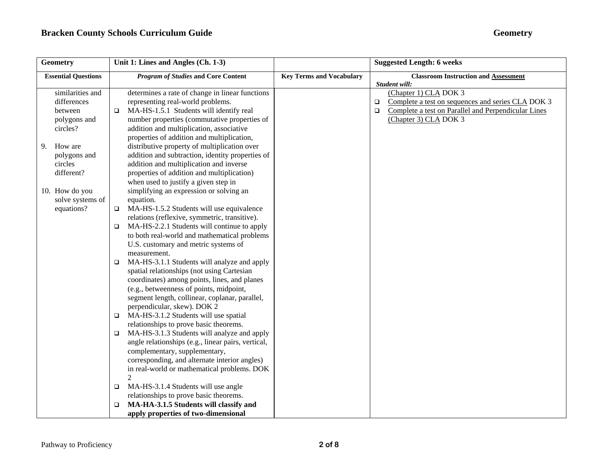| <b>Geometry</b>            | Unit 1: Lines and Angles (Ch. 1-3)                                                                  | <b>Suggested Length: 6 weeks</b> |                                                               |
|----------------------------|-----------------------------------------------------------------------------------------------------|----------------------------------|---------------------------------------------------------------|
| <b>Essential Questions</b> | <b>Program of Studies and Core Content</b>                                                          | <b>Key Terms and Vocabulary</b>  | <b>Classroom Instruction and Assessment</b>                   |
| similarities and           | determines a rate of change in linear functions                                                     |                                  | Student will:<br>(Chapter 1) CLA DOK 3                        |
| differences                | representing real-world problems.                                                                   |                                  | Complete a test on sequences and series CLA DOK 3<br>$\Box$   |
| between                    | MA-HS-1.5.1 Students will identify real<br>$\Box$                                                   |                                  | Complete a test on Parallel and Perpendicular Lines<br>$\Box$ |
| polygons and               | number properties (commutative properties of                                                        |                                  | (Chapter 3) CLA DOK 3                                         |
| circles?                   | addition and multiplication, associative                                                            |                                  |                                                               |
|                            | properties of addition and multiplication,                                                          |                                  |                                                               |
| How are<br>9.              | distributive property of multiplication over                                                        |                                  |                                                               |
| polygons and               | addition and subtraction, identity properties of                                                    |                                  |                                                               |
| circles                    | addition and multiplication and inverse                                                             |                                  |                                                               |
| different?                 | properties of addition and multiplication)                                                          |                                  |                                                               |
|                            | when used to justify a given step in                                                                |                                  |                                                               |
| 10. How do you             | simplifying an expression or solving an                                                             |                                  |                                                               |
| solve systems of           | equation.                                                                                           |                                  |                                                               |
| equations?                 | MA-HS-1.5.2 Students will use equivalence<br>$\Box$                                                 |                                  |                                                               |
|                            | relations (reflexive, symmetric, transitive).                                                       |                                  |                                                               |
|                            | MA-HS-2.2.1 Students will continue to apply<br>$\Box$                                               |                                  |                                                               |
|                            | to both real-world and mathematical problems                                                        |                                  |                                                               |
|                            | U.S. customary and metric systems of                                                                |                                  |                                                               |
|                            | measurement.                                                                                        |                                  |                                                               |
|                            | MA-HS-3.1.1 Students will analyze and apply<br>$\Box$<br>spatial relationships (not using Cartesian |                                  |                                                               |
|                            | coordinates) among points, lines, and planes                                                        |                                  |                                                               |
|                            | (e.g., betweenness of points, midpoint,                                                             |                                  |                                                               |
|                            | segment length, collinear, coplanar, parallel,                                                      |                                  |                                                               |
|                            | perpendicular, skew). DOK 2                                                                         |                                  |                                                               |
|                            | MA-HS-3.1.2 Students will use spatial<br>▫                                                          |                                  |                                                               |
|                            | relationships to prove basic theorems.                                                              |                                  |                                                               |
|                            | MA-HS-3.1.3 Students will analyze and apply<br>$\Box$                                               |                                  |                                                               |
|                            | angle relationships (e.g., linear pairs, vertical,                                                  |                                  |                                                               |
|                            | complementary, supplementary,                                                                       |                                  |                                                               |
|                            | corresponding, and alternate interior angles)                                                       |                                  |                                                               |
|                            | in real-world or mathematical problems. DOK                                                         |                                  |                                                               |
|                            | $\mathfrak{D}$                                                                                      |                                  |                                                               |
|                            | MA-HS-3.1.4 Students will use angle<br>$\Box$                                                       |                                  |                                                               |
|                            | relationships to prove basic theorems.                                                              |                                  |                                                               |
|                            | MA-HA-3.1.5 Students will classify and<br>$\Box$                                                    |                                  |                                                               |
|                            | apply properties of two-dimensional                                                                 |                                  |                                                               |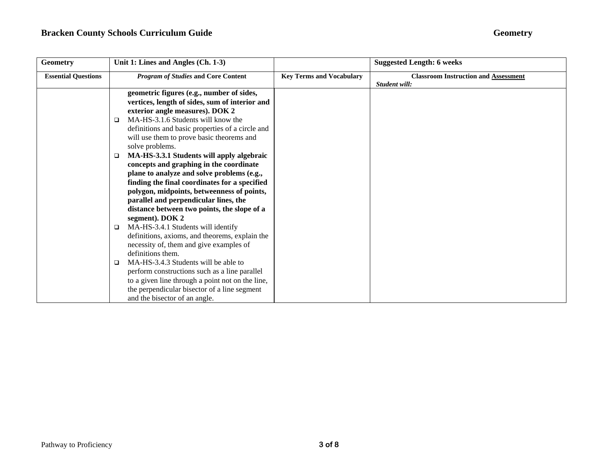| <b>Geometry</b>            | Unit 1: Lines and Angles (Ch. 1-3)               |                                 | <b>Suggested Length: 6 weeks</b>            |
|----------------------------|--------------------------------------------------|---------------------------------|---------------------------------------------|
| <b>Essential Questions</b> | <b>Program of Studies and Core Content</b>       | <b>Key Terms and Vocabulary</b> | <b>Classroom Instruction and Assessment</b> |
|                            |                                                  |                                 | Student will:                               |
|                            | geometric figures (e.g., number of sides,        |                                 |                                             |
|                            | vertices, length of sides, sum of interior and   |                                 |                                             |
|                            | exterior angle measures). DOK 2                  |                                 |                                             |
|                            | MA-HS-3.1.6 Students will know the<br>□          |                                 |                                             |
|                            | definitions and basic properties of a circle and |                                 |                                             |
|                            | will use them to prove basic theorems and        |                                 |                                             |
|                            | solve problems.                                  |                                 |                                             |
|                            | MA-HS-3.3.1 Students will apply algebraic<br>□   |                                 |                                             |
|                            | concepts and graphing in the coordinate          |                                 |                                             |
|                            | plane to analyze and solve problems (e.g.,       |                                 |                                             |
|                            | finding the final coordinates for a specified    |                                 |                                             |
|                            | polygon, midpoints, betweenness of points,       |                                 |                                             |
|                            | parallel and perpendicular lines, the            |                                 |                                             |
|                            | distance between two points, the slope of a      |                                 |                                             |
|                            | segment). DOK 2                                  |                                 |                                             |
|                            | MA-HS-3.4.1 Students will identify<br>$\Box$     |                                 |                                             |
|                            | definitions, axioms, and theorems, explain the   |                                 |                                             |
|                            | necessity of, them and give examples of          |                                 |                                             |
|                            | definitions them.                                |                                 |                                             |
|                            | MA-HS-3.4.3 Students will be able to<br>□        |                                 |                                             |
|                            | perform constructions such as a line parallel    |                                 |                                             |
|                            | to a given line through a point not on the line, |                                 |                                             |
|                            | the perpendicular bisector of a line segment     |                                 |                                             |
|                            | and the bisector of an angle.                    |                                 |                                             |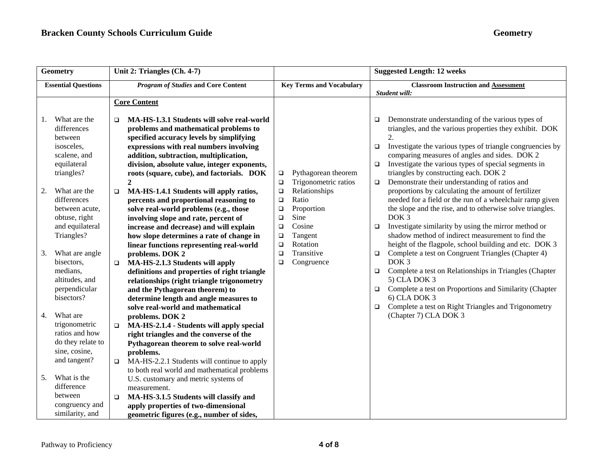| Geometry                                                                                                | Unit 2: Triangles (Ch. 4-7)                                                                                                                                                                                                                                                                                                                   |                                                                                                                                                     | <b>Suggested Length: 12 weeks</b>                                                                                                                                                                                                                                                                                                                                                                                                      |  |
|---------------------------------------------------------------------------------------------------------|-----------------------------------------------------------------------------------------------------------------------------------------------------------------------------------------------------------------------------------------------------------------------------------------------------------------------------------------------|-----------------------------------------------------------------------------------------------------------------------------------------------------|----------------------------------------------------------------------------------------------------------------------------------------------------------------------------------------------------------------------------------------------------------------------------------------------------------------------------------------------------------------------------------------------------------------------------------------|--|
| <b>Essential Questions</b>                                                                              | <b>Program of Studies and Core Content</b>                                                                                                                                                                                                                                                                                                    | <b>Key Terms and Vocabulary</b>                                                                                                                     | <b>Classroom Instruction and Assessment</b>                                                                                                                                                                                                                                                                                                                                                                                            |  |
|                                                                                                         | <b>Core Content</b>                                                                                                                                                                                                                                                                                                                           |                                                                                                                                                     | Student will:                                                                                                                                                                                                                                                                                                                                                                                                                          |  |
| What are the<br>1.<br>differences<br>between<br>isosceles,<br>scalene, and<br>equilateral<br>triangles? | MA-HS-1.3.1 Students will solve real-world<br>$\Box$<br>problems and mathematical problems to<br>specified accuracy levels by simplifying<br>expressions with real numbers involving<br>addition, subtraction, multiplication,<br>division, absolute value, integer exponents,<br>roots (square, cube), and factorials. DOK<br>$\overline{2}$ | Pythagorean theorem<br>$\Box$<br>Trigonometric ratios<br>$\Box$                                                                                     | Demonstrate understanding of the various types of<br>$\Box$<br>triangles, and the various properties they exhibit. DOK<br>$\mathfrak{D}$<br>Investigate the various types of triangle congruencies by<br>$\Box$<br>comparing measures of angles and sides. DOK 2<br>Investigate the various types of special segments in<br>$\Box$<br>triangles by constructing each. DOK 2<br>Demonstrate their understanding of ratios and<br>$\Box$ |  |
| What are the<br>2.<br>differences<br>between acute,<br>obtuse, right<br>and equilateral<br>Triangles?   | MA-HS-1.4.1 Students will apply ratios,<br>$\Box$<br>percents and proportional reasoning to<br>solve real-world problems (e.g., those<br>involving slope and rate, percent of<br>increase and decrease) and will explain<br>how slope determines a rate of change in                                                                          | Relationships<br>$\Box$<br>Ratio<br>$\Box$<br>Proportion<br>$\Box$<br>Sine<br>$\Box$<br>Cosine<br>$\Box$<br>Tangent<br>$\Box$<br>Rotation<br>$\Box$ | proportions by calculating the amount of fertilizer<br>needed for a field or the run of a wheelchair ramp given<br>the slope and the rise, and to otherwise solve triangles.<br>DOK <sub>3</sub><br>Investigate similarity by using the mirror method or<br>$\Box$<br>shadow method of indirect measurement to find the<br>height of the flagpole, school building and etc. DOK 3                                                      |  |
| What are angle<br>3.<br>bisectors,<br>medians,<br>altitudes, and<br>perpendicular<br>bisectors?         | linear functions representing real-world<br>problems. DOK 2<br>MA-HS-2.1.3 Students will apply<br>$\Box$<br>definitions and properties of right triangle<br>relationships (right triangle trigonometry<br>and the Pythagorean theorem) to<br>determine length and angle measures to<br>solve real-world and mathematical                      | Transitive<br>$\Box$<br>Congruence<br>$\Box$                                                                                                        | Complete a test on Congruent Triangles (Chapter 4)<br>$\Box$<br>DOK <sub>3</sub><br>Complete a test on Relationships in Triangles (Chapter<br>$\Box$<br>5) CLA DOK 3<br>Complete a test on Proportions and Similarity (Chapter<br>$\Box$<br>$6)$ CLA DOK 3<br>Complete a test on Right Triangles and Trigonometry<br>$\Box$                                                                                                            |  |
| What are<br>4.<br>trigonometric<br>ratios and how<br>do they relate to<br>sine, cosine,<br>and tangent? | problems. DOK 2<br>MA-HS-2.1.4 - Students will apply special<br>$\Box$<br>right triangles and the converse of the<br>Pythagorean theorem to solve real-world<br>problems.<br>MA-HS-2.2.1 Students will continue to apply<br>$\Box$                                                                                                            |                                                                                                                                                     | (Chapter 7) CLA DOK 3                                                                                                                                                                                                                                                                                                                                                                                                                  |  |
| What is the<br>5.<br>difference<br>between<br>congruency and<br>similarity, and                         | to both real world and mathematical problems<br>U.S. customary and metric systems of<br>measurement.<br>MA-HS-3.1.5 Students will classify and<br>$\Box$<br>apply properties of two-dimensional<br>geometric figures (e.g., number of sides,                                                                                                  |                                                                                                                                                     |                                                                                                                                                                                                                                                                                                                                                                                                                                        |  |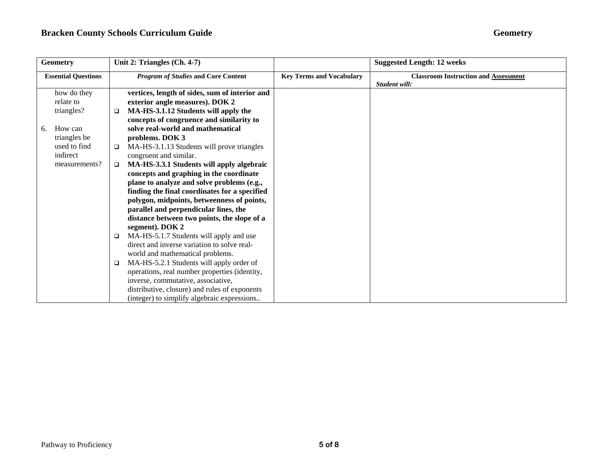| <b>Geometry</b>            |               | Unit 2: Triangles (Ch. 4-7)                |                                                |                                 | <b>Suggested Length: 12 weeks</b>                            |  |
|----------------------------|---------------|--------------------------------------------|------------------------------------------------|---------------------------------|--------------------------------------------------------------|--|
| <b>Essential Questions</b> |               | <b>Program of Studies and Core Content</b> |                                                | <b>Key Terms and Vocabulary</b> | <b>Classroom Instruction and Assessment</b><br>Student will: |  |
|                            | how do they   |                                            | vertices, length of sides, sum of interior and |                                 |                                                              |  |
|                            | relate to     |                                            | exterior angle measures). DOK 2                |                                 |                                                              |  |
|                            | triangles?    | $\Box$                                     | MA-HS-3.1.12 Students will apply the           |                                 |                                                              |  |
|                            |               |                                            | concepts of congruence and similarity to       |                                 |                                                              |  |
| 6.                         | How can       |                                            | solve real-world and mathematical              |                                 |                                                              |  |
|                            | triangles be  |                                            | problems. DOK 3                                |                                 |                                                              |  |
|                            | used to find  | $\Box$                                     | MA-HS-3.1.13 Students will prove triangles     |                                 |                                                              |  |
|                            | indirect      |                                            | congruent and similar.                         |                                 |                                                              |  |
|                            | measurements? | □                                          | MA-HS-3.3.1 Students will apply algebraic      |                                 |                                                              |  |
|                            |               |                                            | concepts and graphing in the coordinate        |                                 |                                                              |  |
|                            |               |                                            | plane to analyze and solve problems (e.g.,     |                                 |                                                              |  |
|                            |               |                                            | finding the final coordinates for a specified  |                                 |                                                              |  |
|                            |               |                                            | polygon, midpoints, betweenness of points,     |                                 |                                                              |  |
|                            |               |                                            | parallel and perpendicular lines, the          |                                 |                                                              |  |
|                            |               |                                            | distance between two points, the slope of a    |                                 |                                                              |  |
|                            |               |                                            | segment). DOK 2                                |                                 |                                                              |  |
|                            |               | □                                          | MA-HS-5.1.7 Students will apply and use        |                                 |                                                              |  |
|                            |               |                                            | direct and inverse variation to solve real-    |                                 |                                                              |  |
|                            |               |                                            | world and mathematical problems.               |                                 |                                                              |  |
|                            |               | □                                          | MA-HS-5.2.1 Students will apply order of       |                                 |                                                              |  |
|                            |               |                                            | operations, real number properties (identity,  |                                 |                                                              |  |
|                            |               |                                            | inverse, commutative, associative,             |                                 |                                                              |  |
|                            |               |                                            | distributive, closure) and rules of exponents  |                                 |                                                              |  |
|                            |               |                                            | (integer) to simplify algebraic expressions    |                                 |                                                              |  |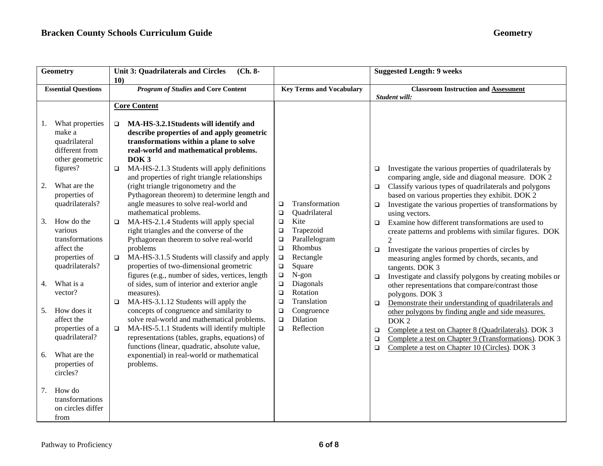| Geometry                                                                                                                                                                                                                                                                                                                                                                                                                                                                         | <b>Unit 3: Quadrilaterals and Circles</b><br>$(Ch. 8-$<br>10)                                                                                                                                                                                                                                                                                                                                                                                                                                                                                                                                                                                                                                                                                                                                                                                                                                                                                                                                                                                                                                                                                                                                                                                         |                                                                                                                                                                                                                                                                                                                                                          | <b>Suggested Length: 9 weeks</b>                                                                                                                                                                                                                                                                                                                                                                                                                                                                                                                                                                                                                                                                                                                                                                                                                                                                                                                                                                                                                                                                                             |
|----------------------------------------------------------------------------------------------------------------------------------------------------------------------------------------------------------------------------------------------------------------------------------------------------------------------------------------------------------------------------------------------------------------------------------------------------------------------------------|-------------------------------------------------------------------------------------------------------------------------------------------------------------------------------------------------------------------------------------------------------------------------------------------------------------------------------------------------------------------------------------------------------------------------------------------------------------------------------------------------------------------------------------------------------------------------------------------------------------------------------------------------------------------------------------------------------------------------------------------------------------------------------------------------------------------------------------------------------------------------------------------------------------------------------------------------------------------------------------------------------------------------------------------------------------------------------------------------------------------------------------------------------------------------------------------------------------------------------------------------------|----------------------------------------------------------------------------------------------------------------------------------------------------------------------------------------------------------------------------------------------------------------------------------------------------------------------------------------------------------|------------------------------------------------------------------------------------------------------------------------------------------------------------------------------------------------------------------------------------------------------------------------------------------------------------------------------------------------------------------------------------------------------------------------------------------------------------------------------------------------------------------------------------------------------------------------------------------------------------------------------------------------------------------------------------------------------------------------------------------------------------------------------------------------------------------------------------------------------------------------------------------------------------------------------------------------------------------------------------------------------------------------------------------------------------------------------------------------------------------------------|
| <b>Essential Questions</b>                                                                                                                                                                                                                                                                                                                                                                                                                                                       | <b>Program of Studies and Core Content</b>                                                                                                                                                                                                                                                                                                                                                                                                                                                                                                                                                                                                                                                                                                                                                                                                                                                                                                                                                                                                                                                                                                                                                                                                            | <b>Key Terms and Vocabulary</b>                                                                                                                                                                                                                                                                                                                          | <b>Classroom Instruction and Assessment</b><br>Student will:                                                                                                                                                                                                                                                                                                                                                                                                                                                                                                                                                                                                                                                                                                                                                                                                                                                                                                                                                                                                                                                                 |
| What properties<br>1.<br>make a<br>quadrilateral<br>different from<br>other geometric<br>figures?<br>What are the<br>2.<br>properties of<br>quadrilaterals?<br>How do the<br>3.<br>various<br>transformations<br>affect the<br>properties of<br>quadrilaterals?<br>What is a<br>4.<br>vector?<br>How does it<br>5.<br>affect the<br>properties of a<br>quadrilateral?<br>What are the<br>6.<br>properties of<br>circles?<br>How do<br>7.<br>transformations<br>on circles differ | <b>Core Content</b><br>MA-HS-3.2.1Students will identify and<br>$\Box$<br>describe properties of and apply geometric<br>transformations within a plane to solve<br>real-world and mathematical problems.<br>DOK <sub>3</sub><br>MA-HS-2.1.3 Students will apply definitions<br>$\Box$<br>and properties of right triangle relationships<br>(right triangle trigonometry and the<br>Pythagorean theorem) to determine length and<br>angle measures to solve real-world and<br>mathematical problems.<br>MA-HS-2.1.4 Students will apply special<br>$\Box$<br>right triangles and the converse of the<br>Pythagorean theorem to solve real-world<br>problems<br>MA-HS-3.1.5 Students will classify and apply<br>$\Box$<br>properties of two-dimensional geometric<br>figures (e.g., number of sides, vertices, length<br>of sides, sum of interior and exterior angle<br>measures).<br>MA-HS-3.1.12 Students will apply the<br>$\Box$<br>concepts of congruence and similarity to<br>solve real-world and mathematical problems.<br>MA-HS-5.1.1 Students will identify multiple<br>$\Box$<br>representations (tables, graphs, equations) of<br>functions (linear, quadratic, absolute value,<br>exponential) in real-world or mathematical<br>problems. | Transformation<br>$\Box$<br>Quadrilateral<br>$\Box$<br>Kite<br>$\Box$<br>Trapezoid<br>$\Box$<br>Parallelogram<br>$\Box$<br>Rhombus<br>$\Box$<br>Rectangle<br>$\Box$<br>Square<br>$\Box$<br>$N-gon$<br>$\Box$<br>Diagonals<br>$\Box$<br>Rotation<br>$\Box$<br>Translation<br>$\Box$<br>Congruence<br>$\Box$<br>Dilation<br>$\Box$<br>Reflection<br>$\Box$ | Investigate the various properties of quadrilaterals by<br>$\Box$<br>comparing angle, side and diagonal measure. DOK 2<br>Classify various types of quadrilaterals and polygons<br>$\Box$<br>based on various properties they exhibit. DOK 2<br>Investigate the various properties of transformations by<br>$\Box$<br>using vectors.<br>Examine how different transformations are used to<br>$\Box$<br>create patterns and problems with similar figures. DOK<br>$\mathcal{D}_{\mathcal{L}}$<br>Investigate the various properties of circles by<br>$\Box$<br>measuring angles formed by chords, secants, and<br>tangents. DOK 3<br>Investigate and classify polygons by creating mobiles or<br>$\Box$<br>other representations that compare/contrast those<br>polygons. DOK 3<br>Demonstrate their understanding of quadrilaterals and<br>$\Box$<br>other polygons by finding angle and side measures.<br>DOK <sub>2</sub><br>Complete a test on Chapter 8 (Quadrilaterals). DOK 3<br>$\Box$<br>Complete a test on Chapter 9 (Transformations). DOK 3<br>$\Box$<br>Complete a test on Chapter 10 (Circles). DOK 3<br>$\Box$ |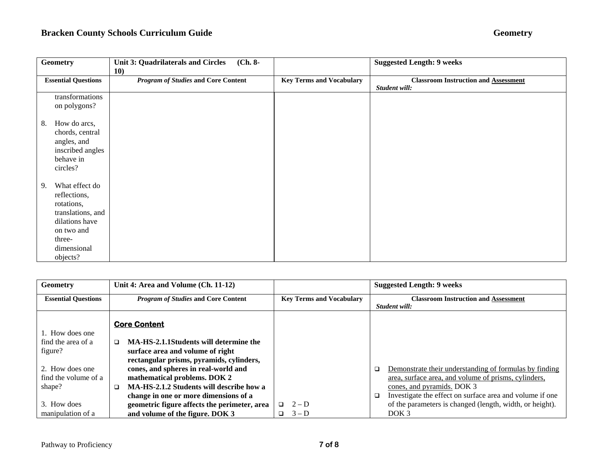| Geometry                                                                                                                                     | <b>Unit 3: Quadrilaterals and Circles</b><br>$(Ch. 8-$<br><b>10</b> |                                 | <b>Suggested Length: 9 weeks</b>                             |
|----------------------------------------------------------------------------------------------------------------------------------------------|---------------------------------------------------------------------|---------------------------------|--------------------------------------------------------------|
| <b>Essential Questions</b>                                                                                                                   | <b>Program of Studies and Core Content</b>                          | <b>Key Terms and Vocabulary</b> | <b>Classroom Instruction and Assessment</b><br>Student will: |
| transformations<br>on polygons?                                                                                                              |                                                                     |                                 |                                                              |
| How do arcs,<br>8.<br>chords, central<br>angles, and<br>inscribed angles<br>behave in<br>circles?                                            |                                                                     |                                 |                                                              |
| What effect do<br>9.<br>reflections,<br>rotations,<br>translations, and<br>dilations have<br>on two and<br>three-<br>dimensional<br>objects? |                                                                     |                                 |                                                              |

| <b>Geometry</b>            | Unit 4: Area and Volume (Ch. 11-12)                |                                 | <b>Suggested Length: 9 weeks</b>                                   |
|----------------------------|----------------------------------------------------|---------------------------------|--------------------------------------------------------------------|
| <b>Essential Ouestions</b> | <b>Program of Studies and Core Content</b>         | <b>Key Terms and Vocabulary</b> | <b>Classroom Instruction and Assessment</b>                        |
|                            |                                                    |                                 | Student will:                                                      |
|                            | <b>Core Content</b>                                |                                 |                                                                    |
| 1. How does one            |                                                    |                                 |                                                                    |
| find the area of a         | MA-HS-2.1.1Students will determine the<br>$\Box$   |                                 |                                                                    |
| figure?                    | surface area and volume of right                   |                                 |                                                                    |
|                            | rectangular prisms, pyramids, cylinders,           |                                 |                                                                    |
| 2. How does one            | cones, and spheres in real-world and               |                                 | Demonstrate their understanding of formulas by finding<br>$\Box$   |
| find the volume of a       | mathematical problems. DOK 2                       |                                 | area, surface area, and volume of prisms, cylinders,               |
| shape?                     | MA-HS-2.1.2 Students will describe how a<br>$\Box$ |                                 | cones, and pyramids. DOK 3                                         |
|                            | change in one or more dimensions of a              |                                 | Investigate the effect on surface area and volume if one<br>$\Box$ |
| 3. How does                | geometric figure affects the perimeter, area       | $\Box$ 2-D                      | of the parameters is changed (length, width, or height).           |
| manipulation of a          | and volume of the figure. DOK 3                    | $3-D$<br>$\Box$                 | DOK <sub>3</sub>                                                   |